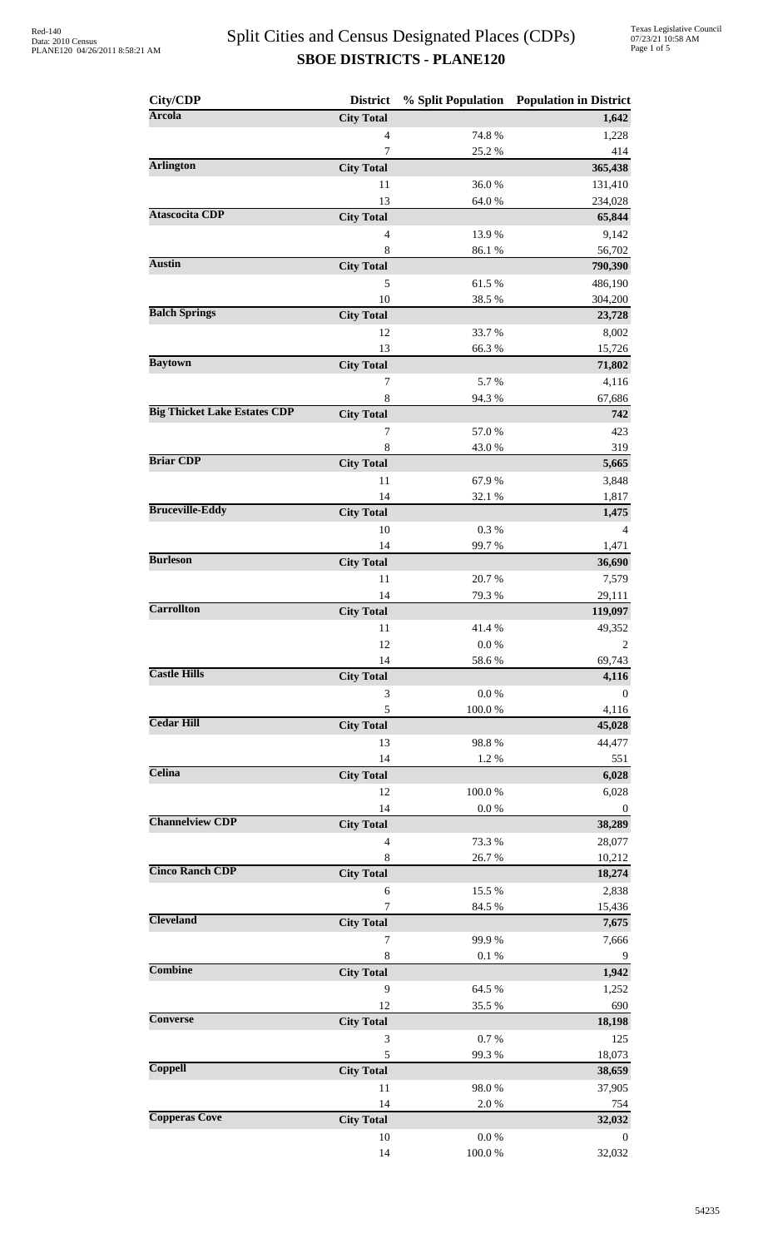| City/CDP                            | <b>District</b>                     |                     | % Split Population Population in District |
|-------------------------------------|-------------------------------------|---------------------|-------------------------------------------|
| <b>Arcola</b>                       | <b>City Total</b>                   |                     | 1,642                                     |
|                                     | $\overline{4}$                      | 74.8%               | 1,228                                     |
|                                     | $\overline{7}$                      | 25.2 %              | 414                                       |
| <b>Arlington</b>                    | <b>City Total</b>                   |                     | 365,438                                   |
|                                     | 11                                  | 36.0%               | 131,410                                   |
| <b>Atascocita CDP</b>               | 13<br><b>City Total</b>             | 64.0%               | 234,028<br>65,844                         |
|                                     | $\overline{4}$                      | 13.9%               | 9,142                                     |
|                                     | 8                                   | 86.1%               | 56,702                                    |
| <b>Austin</b>                       | <b>City Total</b>                   |                     | 790,390                                   |
|                                     | 5                                   | 61.5%               | 486,190                                   |
|                                     | 10                                  | 38.5%               | 304,200                                   |
| <b>Balch Springs</b>                | <b>City Total</b>                   |                     | 23,728                                    |
|                                     | 12                                  | 33.7%               | 8,002                                     |
| <b>Baytown</b>                      | 13<br><b>City Total</b>             | 66.3%               | 15,726                                    |
|                                     | 7                                   | 5.7%                | 71,802<br>4,116                           |
|                                     | $\,$ 8 $\,$                         | 94.3%               | 67,686                                    |
| <b>Big Thicket Lake Estates CDP</b> | <b>City Total</b>                   |                     | 742                                       |
|                                     | 7                                   | 57.0%               | 423                                       |
|                                     | 8                                   | 43.0%               | 319                                       |
| <b>Briar CDP</b>                    | <b>City Total</b>                   |                     | 5,665                                     |
|                                     | 11                                  | 67.9%               | 3,848                                     |
| <b>Bruceville-Eddy</b>              | 14                                  | 32.1 %              | 1,817                                     |
|                                     | <b>City Total</b>                   |                     | 1,475                                     |
|                                     | 10<br>14                            | 0.3%<br>99.7%       | 4<br>1,471                                |
| <b>Burleson</b>                     | <b>City Total</b>                   |                     | 36,690                                    |
|                                     | 11                                  | 20.7%               | 7,579                                     |
|                                     | 14                                  | 79.3%               | 29,111                                    |
| <b>Carrollton</b>                   | <b>City Total</b>                   |                     | 119,097                                   |
|                                     | 11                                  | 41.4%               | 49,352                                    |
|                                     | 12                                  | $0.0\ \%$           | 2                                         |
| <b>Castle Hills</b>                 | 14                                  | 58.6%               | 69,743                                    |
|                                     | <b>City Total</b><br>3              | $0.0\ \%$           | 4,116<br>$\theta$                         |
|                                     | 5                                   | 100.0%              | 4,116                                     |
| <b>Cedar Hill</b>                   | <b>City Total</b>                   |                     | 45,028                                    |
|                                     | 13                                  | 98.8%               | 44,477                                    |
|                                     | 14                                  | 1.2%                | 551                                       |
| Celina                              | <b>City Total</b>                   |                     | 6,028                                     |
|                                     | 12                                  | 100.0%              | 6,028                                     |
| <b>Channelview CDP</b>              | 14                                  | $0.0\ \%$           | $\boldsymbol{0}$                          |
|                                     | <b>City Total</b><br>$\overline{4}$ | 73.3 %              | 38,289<br>28,077                          |
|                                     | 8                                   | 26.7%               | 10,212                                    |
| <b>Cinco Ranch CDP</b>              | <b>City Total</b>                   |                     | 18,274                                    |
|                                     | 6                                   | 15.5 %              | 2,838                                     |
|                                     | 7                                   | 84.5 %              | 15,436                                    |
| <b>Cleveland</b>                    | <b>City Total</b>                   |                     | 7,675                                     |
|                                     | 7                                   | 99.9%               | 7,666                                     |
| <b>Combine</b>                      | $\,8\,$                             | 0.1 %               | $\overline{9}$                            |
|                                     | <b>City Total</b><br>9              |                     | 1,942                                     |
|                                     | 12                                  | 64.5 %<br>35.5 %    | 1,252<br>690                              |
| <b>Converse</b>                     | <b>City Total</b>                   |                     | 18,198                                    |
|                                     | 3                                   | 0.7%                | 125                                       |
|                                     | 5                                   | 99.3%               | 18,073                                    |
| Coppell                             | <b>City Total</b>                   |                     | 38,659                                    |
|                                     | 11                                  | 98.0%               | 37,905                                    |
| <b>Copperas Cove</b>                | 14                                  | $2.0\ \%$           | 754                                       |
|                                     | <b>City Total</b>                   |                     | 32,032                                    |
|                                     | $10\,$<br>14                        | 0.0 %<br>$100.0~\%$ | $\mathbf{0}$<br>32,032                    |
|                                     |                                     |                     |                                           |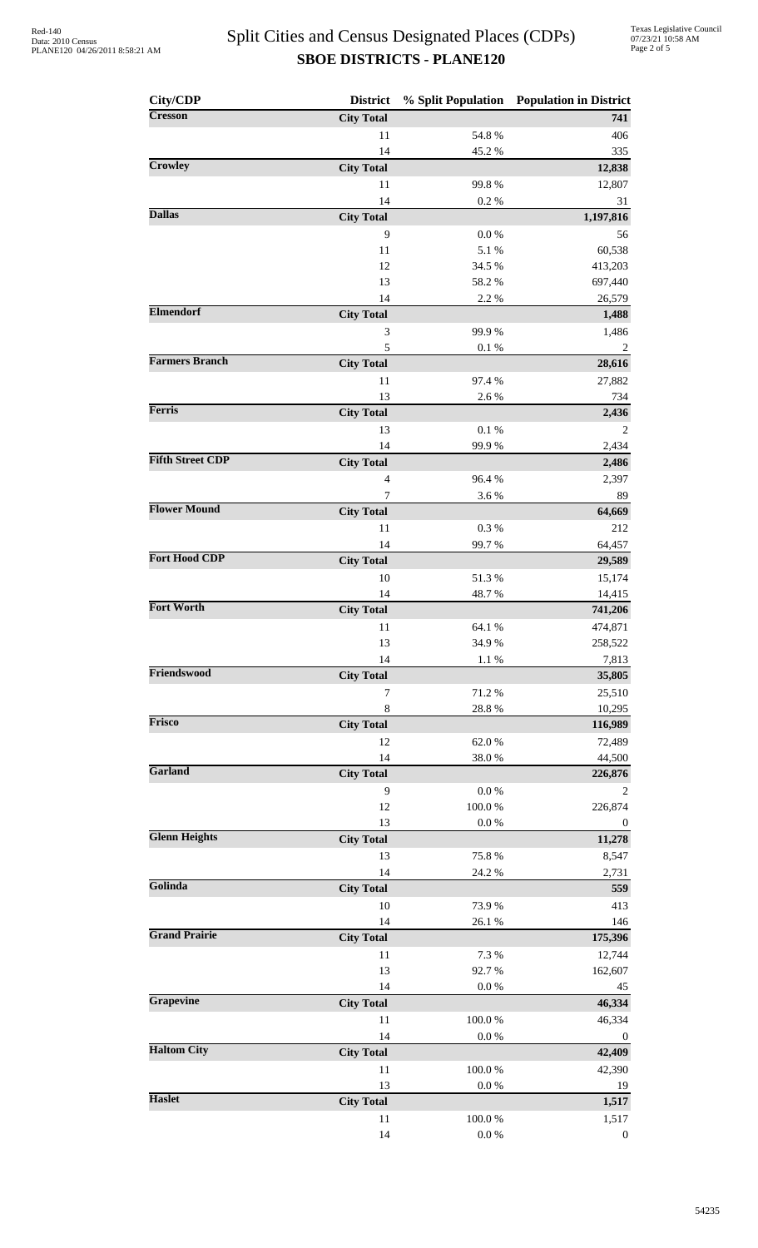| City/CDP                | <b>District</b>         |                     | % Split Population Population in District |
|-------------------------|-------------------------|---------------------|-------------------------------------------|
| <b>Cresson</b>          | <b>City Total</b>       |                     | 741                                       |
|                         | 11                      | 54.8 %              | 406                                       |
|                         | 14                      | 45.2%               | 335                                       |
| Crowley                 | <b>City Total</b><br>11 | 99.8%               | 12,838                                    |
|                         | 14                      | $0.2~\%$            | 12,807<br>31                              |
| <b>Dallas</b>           | <b>City Total</b>       |                     | 1,197,816                                 |
|                         | 9                       | 0.0 %               | 56                                        |
|                         | 11                      | 5.1 %               | 60,538                                    |
|                         | 12                      | 34.5 %              | 413,203                                   |
|                         | 13                      | 58.2%               | 697,440                                   |
| <b>Elmendorf</b>        | 14<br><b>City Total</b> | 2.2 %               | 26,579<br>1,488                           |
|                         | 3                       | 99.9%               | 1,486                                     |
|                         | 5                       | $0.1~\%$            | 2                                         |
| <b>Farmers Branch</b>   | <b>City Total</b>       |                     | 28,616                                    |
|                         | 11                      | 97.4 %              | 27,882                                    |
| Ferris                  | 13                      | 2.6%                | 734                                       |
|                         | <b>City Total</b><br>13 | $0.1\ \%$           | 2,436<br>$\overline{c}$                   |
|                         | 14                      | 99.9%               | 2,434                                     |
| <b>Fifth Street CDP</b> | <b>City Total</b>       |                     | 2,486                                     |
|                         | 4                       | 96.4%               | 2,397                                     |
|                         | 7                       | 3.6%                | 89                                        |
| <b>Flower Mound</b>     | <b>City Total</b>       |                     | 64,669                                    |
|                         | 11                      | 0.3%                | 212                                       |
| <b>Fort Hood CDP</b>    | 14<br><b>City Total</b> | 99.7%               | 64,457<br>29,589                          |
|                         | 10                      | 51.3%               | 15,174                                    |
|                         | 14                      | 48.7%               | 14,415                                    |
| <b>Fort Worth</b>       | <b>City Total</b>       |                     | 741,206                                   |
|                         | 11                      | 64.1 %              | 474,871                                   |
|                         | 13                      | 34.9%               | 258,522                                   |
| Friendswood             | 14<br><b>City Total</b> | 1.1 %               | 7,813<br>35,805                           |
|                         | 7                       | 71.2%               | 25,510                                    |
|                         | 8                       | $28.8\ \%$          | 10,295                                    |
| <b>Frisco</b>           | <b>City Total</b>       |                     | 116,989                                   |
|                         | 12                      | 62.0%               | 72,489                                    |
| Garland                 | 14                      | $38.0\;\%$          | 44,500                                    |
|                         | <b>City Total</b><br>9  | 0.0 %               | 226,876<br>2                              |
|                         | 12                      | $100.0~\%$          | 226,874                                   |
|                         | 13                      | $0.0\ \%$           | $\boldsymbol{0}$                          |
| <b>Glenn Heights</b>    | <b>City Total</b>       |                     | 11,278                                    |
|                         | 13                      | 75.8%               | 8,547                                     |
| Golinda                 | 14                      | 24.2 %              | 2,731                                     |
|                         | <b>City Total</b><br>10 | 73.9%               | 559<br>413                                |
|                         | 14                      | 26.1 %              | 146                                       |
| <b>Grand Prairie</b>    | <b>City Total</b>       |                     | 175,396                                   |
|                         | 11                      | 7.3 %               | 12,744                                    |
|                         | 13                      | 92.7%               | 162,607                                   |
|                         | 14                      | $0.0\ \%$           | 45                                        |
| Grapevine               | <b>City Total</b>       |                     | 46,334                                    |
|                         | 11<br>14                | $100.0~\%$<br>0.0 % | 46,334<br>$\boldsymbol{0}$                |
| <b>Haltom City</b>      | <b>City Total</b>       |                     | 42,409                                    |
|                         | 11                      | 100.0%              | 42,390                                    |
|                         | 13                      | $0.0~\%$            | 19                                        |
| <b>Haslet</b>           | <b>City Total</b>       |                     | 1,517                                     |
|                         | 11                      | $100.0~\%$          | 1,517                                     |
|                         | 14                      | $0.0\ \%$           | $\boldsymbol{0}$                          |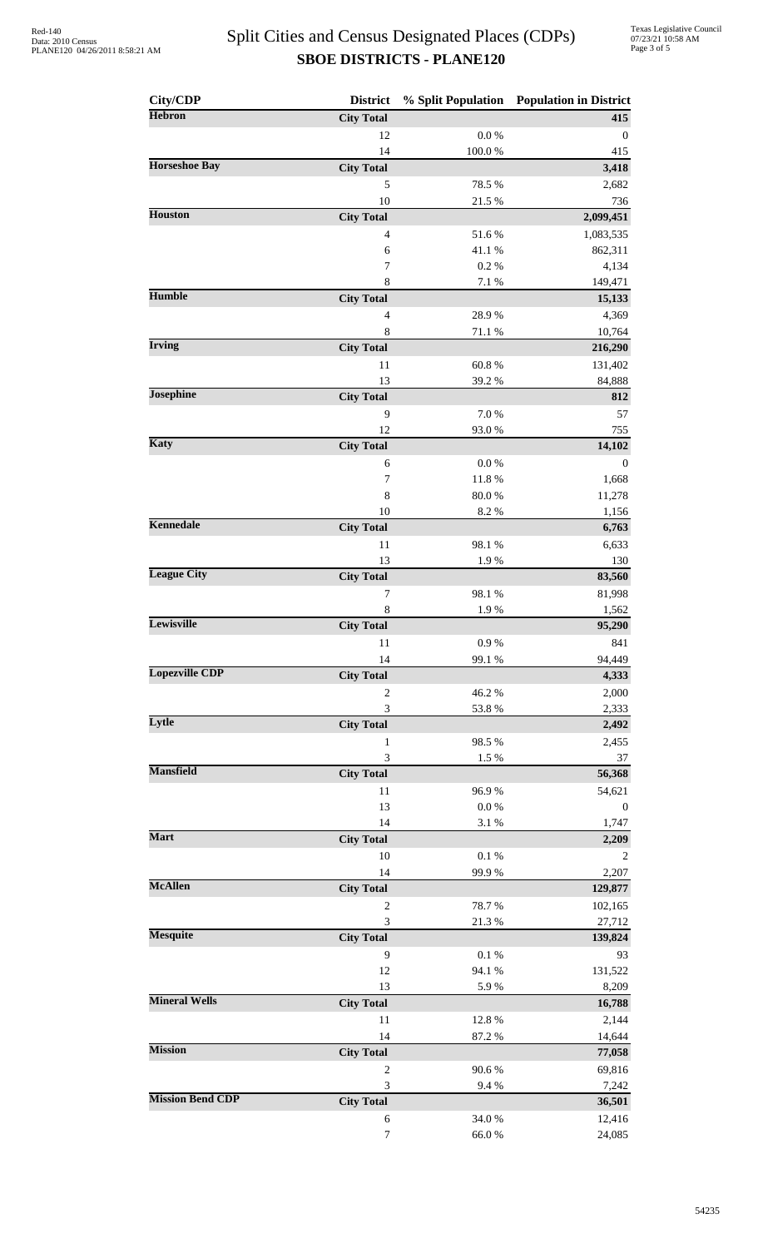| City/CDP                | <b>District</b>        |                         | % Split Population Population in District |
|-------------------------|------------------------|-------------------------|-------------------------------------------|
| <b>Hebron</b>           | <b>City Total</b>      |                         | 415                                       |
|                         | 12                     | $0.0\ \%$               | $\theta$                                  |
|                         | 14                     | $100.0~\%$              | 415                                       |
| <b>Horseshoe Bay</b>    | <b>City Total</b>      |                         | 3,418                                     |
|                         | 5                      | 78.5 %                  | 2,682                                     |
|                         | 10                     | 21.5 %                  | 736                                       |
| <b>Houston</b>          | <b>City Total</b>      |                         | 2,099,451                                 |
|                         | $\overline{4}$<br>6    | 51.6%<br>41.1%          | 1,083,535<br>862,311                      |
|                         | $\boldsymbol{7}$       | 0.2 %                   | 4,134                                     |
|                         | $\,$ 8 $\,$            | 7.1 %                   | 149,471                                   |
| <b>Humble</b>           | <b>City Total</b>      |                         | 15,133                                    |
|                         | $\overline{4}$         | 28.9%                   | 4,369                                     |
|                         | 8                      | 71.1 %                  | 10,764                                    |
| <b>Irving</b>           | <b>City Total</b>      |                         | 216,290                                   |
|                         | 11                     | 60.8%                   | 131,402                                   |
|                         | 13                     | 39.2%                   | 84,888                                    |
| <b>Josephine</b>        | <b>City Total</b>      |                         | 812                                       |
|                         | 9                      | 7.0%                    | 57                                        |
| <b>Katy</b>             | 12                     | 93.0%                   | 755                                       |
|                         | <b>City Total</b>      |                         | 14,102                                    |
|                         | 6<br>7                 | $0.0\ \%$<br>$11.8\ \%$ | $\mathbf 0$<br>1,668                      |
|                         | 8                      | $80.0\;\%$              | 11,278                                    |
|                         | 10                     | 8.2 %                   | 1,156                                     |
| <b>Kennedale</b>        | <b>City Total</b>      |                         | 6,763                                     |
|                         | 11                     | 98.1 %                  | 6,633                                     |
|                         | 13                     | 1.9%                    | 130                                       |
| <b>League City</b>      | <b>City Total</b>      |                         | 83,560                                    |
|                         | $\boldsymbol{7}$       | 98.1 %                  | 81,998                                    |
|                         | $\,$ 8 $\,$            | 1.9%                    | 1,562                                     |
| Lewisville              | <b>City Total</b>      |                         | 95,290                                    |
|                         | 11                     | $0.9\ \%$               | 841                                       |
| <b>Lopezville CDP</b>   | 14                     | 99.1 %                  | 94,449                                    |
|                         | <b>City Total</b>      |                         | 4,333                                     |
|                         | $\overline{c}$         | 46.2%                   | 2,000                                     |
| Lytle                   | 3<br><b>City Total</b> | 53.8%                   | 2,333<br>2,492                            |
|                         | $\mathbf{1}$           | 98.5%                   | 2,455                                     |
|                         | 3                      | 1.5 %                   | 37                                        |
| <b>Mansfield</b>        | <b>City Total</b>      |                         | 56,368                                    |
|                         | 11                     | 96.9%                   | 54,621                                    |
|                         | 13                     | $0.0\ \%$               | $\boldsymbol{0}$                          |
|                         | 14                     | 3.1 %                   | 1,747                                     |
| <b>Mart</b>             | <b>City Total</b>      |                         | 2,209                                     |
|                         | 10                     | $0.1~\%$                | 2                                         |
|                         | 14                     | 99.9%                   | 2,207                                     |
| <b>McAllen</b>          | <b>City Total</b>      |                         | 129,877                                   |
|                         | $\mathbf{2}$           | 78.7%                   | 102,165                                   |
| <b>Mesquite</b>         | 3                      | 21.3 %                  | 27,712                                    |
|                         | <b>City Total</b>      |                         | 139,824                                   |
|                         | 9<br>12                | $0.1~\%$<br>94.1 %      | 93                                        |
|                         | 13                     | 5.9%                    | 131,522<br>8,209                          |
| <b>Mineral Wells</b>    | <b>City Total</b>      |                         | 16,788                                    |
|                         | 11                     | 12.8 %                  | 2,144                                     |
|                         | 14                     | 87.2%                   | 14,644                                    |
| <b>Mission</b>          | <b>City Total</b>      |                         | 77,058                                    |
|                         | $\mathbf{2}$           | 90.6%                   | 69,816                                    |
|                         | $\mathfrak{Z}$         | 9.4%                    | 7,242                                     |
| <b>Mission Bend CDP</b> | <b>City Total</b>      |                         | 36,501                                    |
|                         | $\boldsymbol{6}$       | 34.0%                   | 12,416                                    |
|                         | $\boldsymbol{7}$       | $66.0\;\%$              | 24,085                                    |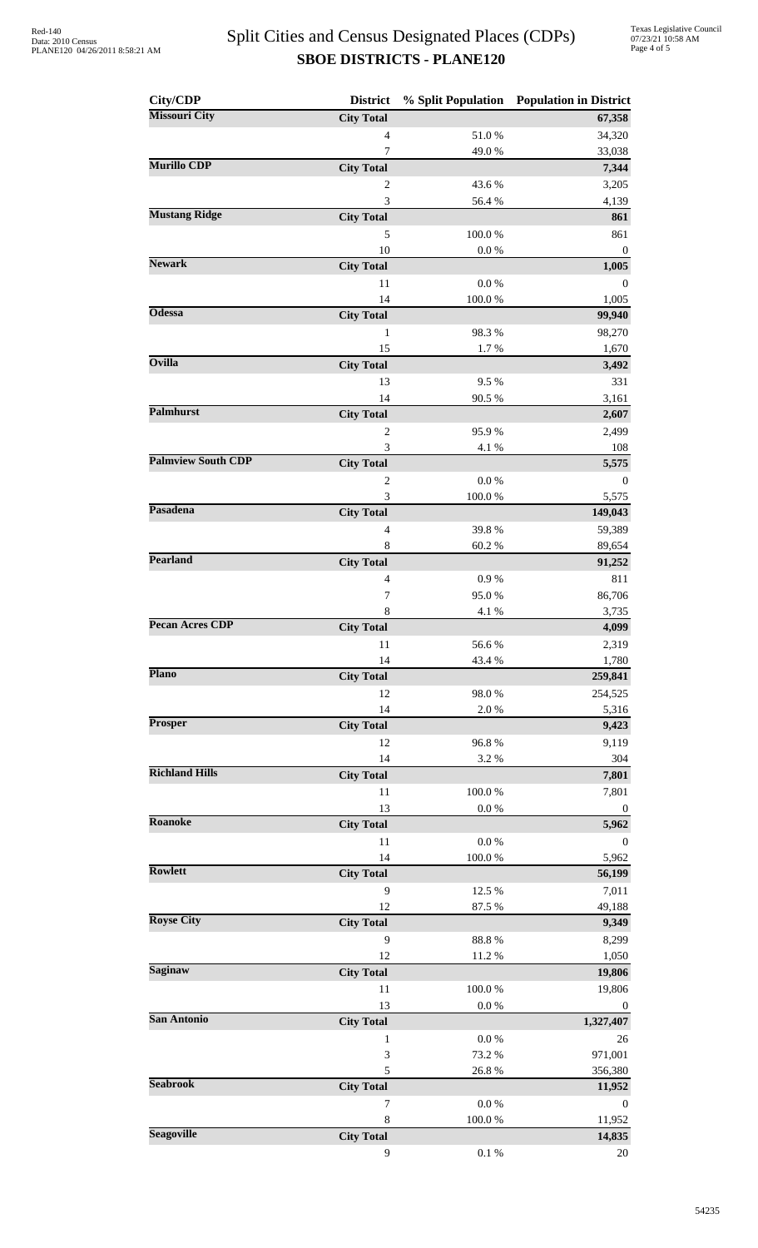| City/CDP                  | <b>District</b>         |                 | % Split Population Population in District |
|---------------------------|-------------------------|-----------------|-------------------------------------------|
| <b>Missouri City</b>      | <b>City Total</b>       |                 | 67,358                                    |
|                           | $\overline{4}$          | 51.0%           | 34,320                                    |
| <b>Murillo CDP</b>        | 7                       | 49.0%           | 33,038                                    |
|                           | <b>City Total</b>       |                 | 7,344                                     |
|                           | 2<br>3                  | 43.6%<br>56.4 % | 3,205<br>4,139                            |
| <b>Mustang Ridge</b>      | <b>City Total</b>       |                 | 861                                       |
|                           | 5                       | 100.0%          | 861                                       |
|                           | 10                      | 0.0 %           | $\boldsymbol{0}$                          |
| <b>Newark</b>             | <b>City Total</b>       |                 | 1,005                                     |
|                           | 11                      | $0.0\ \%$       | $\mathbf{0}$                              |
| <b>Odessa</b>             | 14                      | 100.0%          | 1,005                                     |
|                           | <b>City Total</b>       |                 | 99,940                                    |
|                           | 1<br>15                 | 98.3%<br>1.7%   | 98,270<br>1,670                           |
| <b>Ovilla</b>             | <b>City Total</b>       |                 | 3,492                                     |
|                           | 13                      | 9.5%            | 331                                       |
|                           | 14                      | 90.5 %          | 3,161                                     |
| <b>Palmhurst</b>          | <b>City Total</b>       |                 | 2,607                                     |
|                           | $\mathbf{2}$            | 95.9%           | 2,499                                     |
|                           | $\mathfrak{Z}$          | 4.1 %           | 108                                       |
| <b>Palmview South CDP</b> | <b>City Total</b>       |                 | 5,575                                     |
|                           | $\overline{2}$          | $0.0\ \%$       | $\boldsymbol{0}$                          |
| Pasadena                  | 3<br><b>City Total</b>  | 100.0%          | 5,575<br>149,043                          |
|                           | $\overline{4}$          | 39.8%           | 59,389                                    |
|                           | 8                       | 60.2%           | 89,654                                    |
| <b>Pearland</b>           | <b>City Total</b>       |                 | 91,252                                    |
|                           | $\overline{4}$          | 0.9%            | 811                                       |
|                           | 7                       | 95.0%           | 86,706                                    |
|                           | 8                       | 4.1 %           | 3,735                                     |
| <b>Pecan Acres CDP</b>    | <b>City Total</b>       |                 | 4,099                                     |
|                           | 11<br>14                | 56.6%<br>43.4 % | 2,319<br>1,780                            |
| <b>Plano</b>              | <b>City Total</b>       |                 | 259,841                                   |
|                           | 12                      | 98.0%           | 254,525                                   |
|                           | 14                      | 2.0%            | 5,316                                     |
| Prosper                   | <b>City Total</b>       |                 | 9,423                                     |
|                           | 12                      | 96.8%           | 9,119                                     |
|                           | 14                      | 3.2%            | 304                                       |
| <b>Richland Hills</b>     | <b>City Total</b>       |                 | 7,801                                     |
|                           | 11<br>13                | 100.0%<br>0.0 % | 7,801<br>$\boldsymbol{0}$                 |
| <b>Roanoke</b>            | <b>City Total</b>       |                 | 5,962                                     |
|                           | 11                      | $0.0\ \%$       | $\mathbf{0}$                              |
|                           | 14                      | 100.0%          | 5,962                                     |
| <b>Rowlett</b>            | <b>City Total</b>       |                 | 56,199                                    |
|                           | 9                       | 12.5 %          | 7,011                                     |
|                           | 12                      | 87.5 %          | 49,188                                    |
| <b>Royse City</b>         | <b>City Total</b>       |                 | 9,349                                     |
|                           | 9                       | 88.8%           | 8,299                                     |
| <b>Saginaw</b>            | 12<br><b>City Total</b> | 11.2 %          | 1,050<br>19,806                           |
|                           | 11                      | 100.0%          | 19,806                                    |
|                           | 13                      | 0.0 %           | $\boldsymbol{0}$                          |
| San Antonio               | <b>City Total</b>       |                 | 1,327,407                                 |
|                           | 1                       | 0.0 %           | 26                                        |
|                           | 3                       | 73.2 %          | 971,001                                   |
| <b>Seabrook</b>           | 5                       | 26.8%           | 356,380                                   |
|                           | <b>City Total</b>       |                 | 11,952                                    |
|                           | 7<br>$\,8\,$            | 0.0 %<br>100.0% | $\boldsymbol{0}$<br>11,952                |
| <b>Seagoville</b>         | <b>City Total</b>       |                 | 14,835                                    |
|                           | 9                       | $0.1~\%$        | $20\,$                                    |